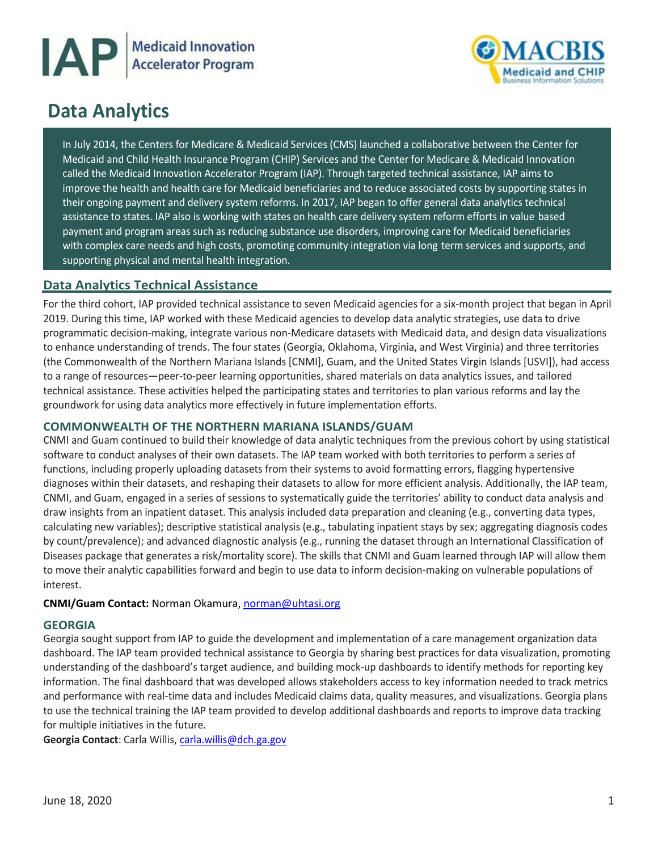



# **Data Analytics**

 In July 2014, the Centers for Medicare & Medicaid Services (CMS) launched a collaborative between the Center for Medicaid and Child Health Insurance Program (CHIP) Services and the Center for Medicare & Medicaid Innovation called the Medicaid Innovation Accelerator Program (IAP). Through targeted technical assistance, IAP aims to improve the health and health care for Medicaid beneficiaries and to reduce associated costs by supporting states in their ongoing payment and delivery system reforms. In 2017, IAP began to offer general data analytics technical - assistance to states. IAP also is working with states on health care delivery system reform efforts in value based payment and program areas such as reducing substance use disorders, improving care for Medicaid beneficiaries - with complex care needs and high costs, promoting community integration via long term services and supports, and supporting physical and mental health integration.

# **Data Analytics Technical Assistance**

 2019. During this time, IAP worked with these Medicaid agencies to develop data analytic strategies, use data to drive (the Commonwealth of the Northern Mariana Islands [CNMI], Guam, and the United States Virgin Islands [USVI]), had access technical assistance. These activities helped the participating states and territories to plan various reforms and lay the groundwork for using data analytics more effectively in future implementation efforts. For the third cohort, IAP provided technical assistance to seven Medicaid agencies for a six-month project that began in April programmatic decision-making, integrate various non-Medicare datasets with Medicaid data, and design data visualizations to enhance understanding of trends. The four states (Georgia, Oklahoma, Virginia, and West Virginia) and three territories to a range of resources—peer-to-peer learning opportunities, shared materials on data analytics issues, and tailored

## **COMMONWEALTH OF THE NORTHERN MARIANA ISLANDS/GUAM**

 CNMI and Guam continued to build their knowledge of data analytic techniques from the previous cohort by using statistical software to conduct analyses of their own datasets. The IAP team worked with both territories to perform a series of diagnoses within their datasets, and reshaping their datasets to allow for more efficient analysis. Additionally, the IAP team, CNMI, and Guam, engaged in a series of sessions to systematically guide the territories' ability to conduct data analysis and draw insights from an inpatient dataset. This analysis included data preparation and cleaning (e.g., converting data types, calculating new variables); descriptive statistical analysis (e.g., tabulating inpatient stays by sex; aggregating diagnosis codes by count/prevalence); and advanced diagnostic analysis (e.g., running the dataset through an International Classification of Diseases package that generates a risk/mortality score). The skills that CNMI and Guam learned through IAP will allow them to move their analytic capabilities forward and begin to use data to inform decision-making on vulnerable populations of functions, including properly uploading datasets from their systems to avoid formatting errors, flagging hypertensive interest.

## **CNMI/Guam Contact:** Norman Okamura, [norman@uhtasi.org](mailto:norman@uhtasi.org)

## **GEORGIA**

 Georgia sought support from IAP to guide the development and implementation of a care management organization data dashboard. The IAP team provided technical assistance to Georgia by sharing best practices for data visualization, promoting understanding of the dashboard's target audience, and building mock-up dashboards to identify methods for reporting key information. The final dashboard that was developed allows stakeholders access to key information needed to track metrics for multiple initiatives in the future. and performance with real-time data and includes Medicaid claims data, quality measures, and visualizations. Georgia plans to use the technical training the IAP team provided to develop additional dashboards and reports to improve data tracking

**Georgia Contact**: Carla Willis, [carla.willis@dch.ga.gov](mailto:carla.willis@dch.ga.gov)